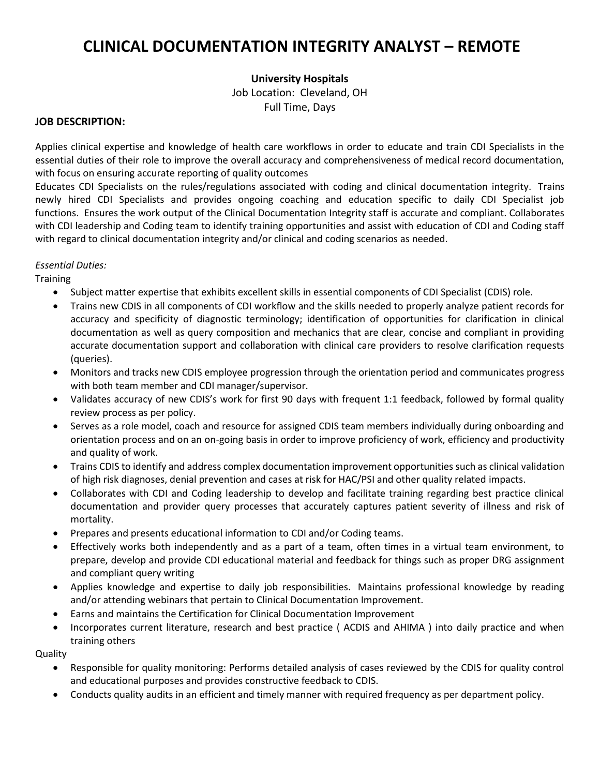# **CLINICAL DOCUMENTATION INTEGRITY ANALYST – REMOTE**

## **University Hospitals**

Job Location: Cleveland, OH Full Time, Days

#### **JOB DESCRIPTION:**

Applies clinical expertise and knowledge of health care workflows in order to educate and train CDI Specialists in the essential duties of their role to improve the overall accuracy and comprehensiveness of medical record documentation, with focus on ensuring accurate reporting of quality outcomes

Educates CDI Specialists on the rules/regulations associated with coding and clinical documentation integrity. Trains newly hired CDI Specialists and provides ongoing coaching and education specific to daily CDI Specialist job functions. Ensures the work output of the Clinical Documentation Integrity staff is accurate and compliant. Collaborates with CDI leadership and Coding team to identify training opportunities and assist with education of CDI and Coding staff with regard to clinical documentation integrity and/or clinical and coding scenarios as needed.

### *Essential Duties:*

**Training** 

- Subject matter expertise that exhibits excellent skills in essential components of CDI Specialist (CDIS) role.
- Trains new CDIS in all components of CDI workflow and the skills needed to properly analyze patient records for accuracy and specificity of diagnostic terminology; identification of opportunities for clarification in clinical documentation as well as query composition and mechanics that are clear, concise and compliant in providing accurate documentation support and collaboration with clinical care providers to resolve clarification requests (queries).
- Monitors and tracks new CDIS employee progression through the orientation period and communicates progress with both team member and CDI manager/supervisor.
- Validates accuracy of new CDIS's work for first 90 days with frequent 1:1 feedback, followed by formal quality review process as per policy.
- Serves as a role model, coach and resource for assigned CDIS team members individually during onboarding and orientation process and on an on-going basis in order to improve proficiency of work, efficiency and productivity and quality of work.
- Trains CDIS to identify and address complex documentation improvement opportunities such as clinical validation of high risk diagnoses, denial prevention and cases at risk for HAC/PSI and other quality related impacts.
- Collaborates with CDI and Coding leadership to develop and facilitate training regarding best practice clinical documentation and provider query processes that accurately captures patient severity of illness and risk of mortality.
- Prepares and presents educational information to CDI and/or Coding teams.
- Effectively works both independently and as a part of a team, often times in a virtual team environment, to prepare, develop and provide CDI educational material and feedback for things such as proper DRG assignment and compliant query writing
- Applies knowledge and expertise to daily job responsibilities. Maintains professional knowledge by reading and/or attending webinars that pertain to Clinical Documentation Improvement.
- Earns and maintains the Certification for Clinical Documentation Improvement
- Incorporates current literature, research and best practice ( ACDIS and AHIMA ) into daily practice and when training others

**Quality** 

- Responsible for quality monitoring: Performs detailed analysis of cases reviewed by the CDIS for quality control and educational purposes and provides constructive feedback to CDIS.
- Conducts quality audits in an efficient and timely manner with required frequency as per department policy.